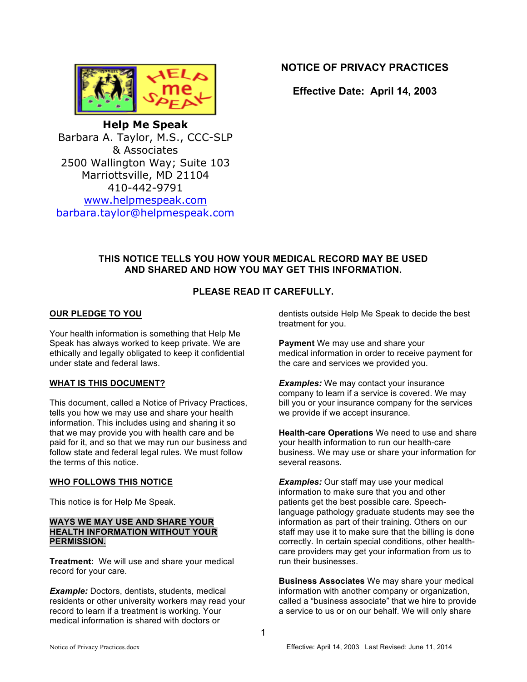

**NOTICE OF PRIVACY PRACTICES**

**Effective Date: April 14, 2003**

**Help Me Speak** Barbara A. Taylor, M.S., CCC-SLP & Associates 2500 Wallington Way; Suite 103 Marriottsville, MD 21104 410-442-9791 www.helpmespeak.com barbara.taylor@helpmespeak.com

# **THIS NOTICE TELLS YOU HOW YOUR MEDICAL RECORD MAY BE USED AND SHARED AND HOW YOU MAY GET THIS INFORMATION.**

# **PLEASE READ IT CAREFULLY.**

### **OUR PLEDGE TO YOU**

Your health information is something that Help Me Speak has always worked to keep private. We are ethically and legally obligated to keep it confidential under state and federal laws.

## **WHAT IS THIS DOCUMENT?**

This document, called a Notice of Privacy Practices, tells you how we may use and share your health information. This includes using and sharing it so that we may provide you with health care and be paid for it, and so that we may run our business and follow state and federal legal rules. We must follow the terms of this notice.

#### **WHO FOLLOWS THIS NOTICE**

This notice is for Help Me Speak.

#### **WAYS WE MAY USE AND SHARE YOUR HEALTH INFORMATION WITHOUT YOUR PERMISSION.**

**Treatment:** We will use and share your medical record for your care.

**Example:** Doctors, dentists, students, medical residents or other university workers may read your record to learn if a treatment is working. Your medical information is shared with doctors or

dentists outside Help Me Speak to decide the best treatment for you.

**Payment** We may use and share your medical information in order to receive payment for the care and services we provided you.

**Examples:** We may contact your insurance company to learn if a service is covered. We may bill you or your insurance company for the services we provide if we accept insurance.

**Health-care Operations** We need to use and share your health information to run our health-care business. We may use or share your information for several reasons.

*Examples:* Our staff may use your medical information to make sure that you and other patients get the best possible care. Speechlanguage pathology graduate students may see the information as part of their training. Others on our staff may use it to make sure that the billing is done correctly. In certain special conditions, other healthcare providers may get your information from us to run their businesses.

**Business Associates** We may share your medical information with another company or organization, called a "business associate" that we hire to provide a service to us or on our behalf. We will only share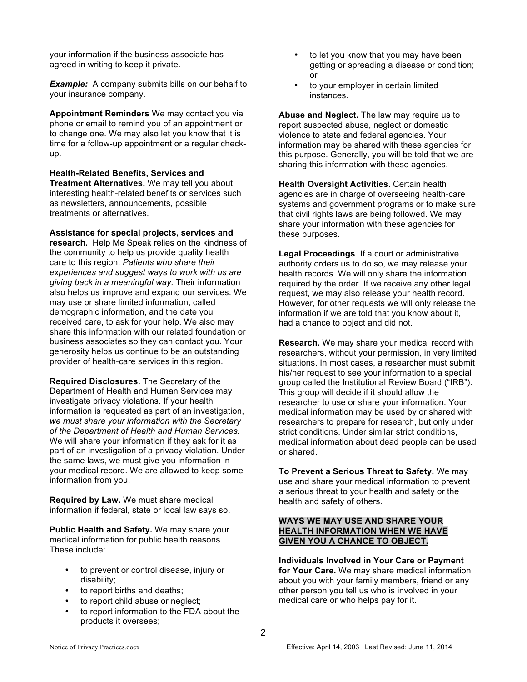your information if the business associate has agreed in writing to keep it private.

*Example:* A company submits bills on our behalf to your insurance company.

**Appointment Reminders** We may contact you via phone or email to remind you of an appointment or to change one. We may also let you know that it is time for a follow-up appointment or a regular checkup.

**Health-Related Benefits, Services and Treatment Alternatives.** We may tell you about interesting health-related benefits or services such as newsletters, announcements, possible treatments or alternatives.

**Assistance for special projects, services and research.** Help Me Speak relies on the kindness of the community to help us provide quality health care to this region. *Patients who share their experiences and suggest ways to work with us are giving back in a meaningful way.* Their information also helps us improve and expand our services. We may use or share limited information, called demographic information, and the date you received care, to ask for your help. We also may share this information with our related foundation or business associates so they can contact you. Your generosity helps us continue to be an outstanding provider of health-care services in this region.

**Required Disclosures.** The Secretary of the Department of Health and Human Services may investigate privacy violations. If your health information is requested as part of an investigation, *we must share your information with the Secretary of the Department of Health and Human Services.* We will share your information if they ask for it as part of an investigation of a privacy violation. Under the same laws, we must give you information in your medical record. We are allowed to keep some information from you.

**Required by Law.** We must share medical information if federal, state or local law says so.

**Public Health and Safety.** We may share your medical information for public health reasons. These include:

- to prevent or control disease, injury or disability;
- to report births and deaths;
- to report child abuse or neglect;
- to report information to the FDA about the products it oversees;
- to let you know that you may have been getting or spreading a disease or condition; or
- to your employer in certain limited instances.

**Abuse and Neglect.** The law may require us to report suspected abuse, neglect or domestic violence to state and federal agencies. Your information may be shared with these agencies for this purpose. Generally, you will be told that we are sharing this information with these agencies.

**Health Oversight Activities.** Certain health agencies are in charge of overseeing health-care systems and government programs or to make sure that civil rights laws are being followed. We may share your information with these agencies for these purposes.

**Legal Proceedings**. If a court or administrative authority orders us to do so, we may release your health records. We will only share the information required by the order. If we receive any other legal request, we may also release your health record. However, for other requests we will only release the information if we are told that you know about it, had a chance to object and did not.

**Research.** We may share your medical record with researchers, without your permission, in very limited situations. In most cases, a researcher must submit his/her request to see your information to a special group called the Institutional Review Board ("IRB"). This group will decide if it should allow the researcher to use or share your information. Your medical information may be used by or shared with researchers to prepare for research, but only under strict conditions. Under similar strict conditions, medical information about dead people can be used or shared.

**To Prevent a Serious Threat to Safety.** We may use and share your medical information to prevent a serious threat to your health and safety or the health and safety of others.

### **WAYS WE MAY USE AND SHARE YOUR HEALTH INFORMATION WHEN WE HAVE GIVEN YOU A CHANCE TO OBJECT.**

**Individuals Involved in Your Care or Payment for Your Care.** We may share medical information about you with your family members, friend or any other person you tell us who is involved in your medical care or who helps pay for it.